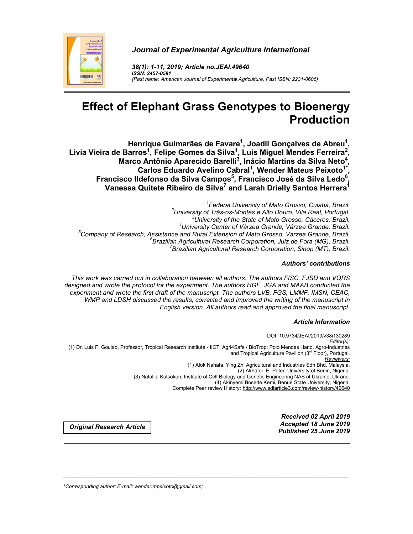

*Journal of Experimental Agriculture International*

*38(1): 1-11, 2019; Article no.JEAI.49640 ISSN: 2457-0591 (Past name: American Journal of Experimental Agriculture, Past ISSN: 2231-0606)*

# **Effect of Elephant Grass Genotypes to Bioenergy Production**

**Henrique Guimarães de Favare1 , Joadil Gonçalves de Abreu1 ,**  Livia Vieira de Barros<sup>1</sup>, Felipe Gomes da Silva<sup>1</sup>, Luis Miguel Mendes Ferreira<sup>2</sup>, **Marco Antônio Aparecido Barelli<sup>3</sup> , Inácio Martins da Silva Neto<sup>4</sup> ,** Carlos Eduardo Avelino Cabral<sup>1</sup>, Wender Mateus Peixoto<sup>1\*</sup> **,** Francisco Ildefonso da Silva Campos<sup>5</sup>, Francisco José da Silva Ledo<sup>6</sup>, **Vanessa Quitete Ribeiro da Silva7 and Larah Drielly Santos Herrera1**

<sup>1</sup>Federal University of Mato Grosso, Cuiabá, Brazil, *Federal University of Mato Grosso, Cuiabá, Brazil. <sup>2</sup> University of Trás-os-Montes e Alto Douro, Vila Real, Portugal. <sup>3</sup> University of the State of Mato Grosso, Cáceres, Brazil. <sup>4</sup> University Center of Várzea Grande, Várzea Grande, Brazil. <sup>5</sup> Company of Research, Assistance and Rural Extension of Mato Grosso, Várzea Grande, Brazil. <sup>6</sup> Brazilian Agricultural Research Corporation, Juiz de Fora (MG), Brazil. <sup>7</sup> Brazilian Agricultural Research Corporation, Sinop (MT), Brazil.*

## *Authors' contributions*

*This work was carried out in collaboration between all authors. The authors FISC, FJSD and VQRS designed and wrote the protocol for the experiment. The authors HGF, JGA and MAAB conducted the experiment and wrote the first draft of the manuscript. The authors LVB, FGS, LMMF, IMSN, CEAC, WMP and LDSH discussed the results, corrected and improved the writing of the manuscript in English version. All authors read and approved the final manuscript.*

#### *Article Information*

DOI: 10.9734/JEAI/2019/v38i130289 *Editor(s):* (1) Dr. Luis F. Goulao, Professor, Tropical Research Institute - IICT, Agri4Safe / BioTrop: Polo Mendes Hand, Agro-Industries and Tropical Agriculture Pavilion (3<sup>rd</sup> Floor), Portugal. *Reviewers:* (1) Alok Nahata, Ying Zhi Agricultural and Industries Sdn Bhd, Malaysia. (2) Akhator, E. Peter, University of Benin, Nigeria. (3) Nataliia Kutsokon, Institute of Cell Biology and Genetic Engineering NAS of Ukraine, Ukrane. (4) Akinyemi Bosede Kemi, Benue State University, Nigeria. Complete Peer review History: http://www.sdiarticle3.com/review-history/49640

\_\_\_\_\_\_\_\_\_\_\_\_\_\_\_\_\_\_\_\_\_\_\_\_\_\_\_\_\_\_\_\_\_\_\_\_\_\_\_\_\_\_\_\_\_\_\_\_\_\_\_\_\_\_\_\_\_\_\_\_\_\_\_\_\_\_\_\_\_\_\_\_\_\_\_\_\_\_\_\_\_\_\_\_\_\_\_\_\_\_\_\_\_\_\_\_\_\_\_\_\_

*Received 02 April 2019 Accepted 18 June 2019 Published 25 June <sup>2019</sup> Original Research Article*

*\*Corresponding author: E-mail: wender.mpeixoto@gmail.com;*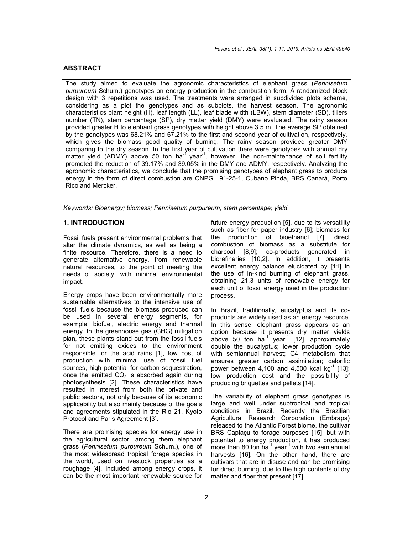# **ABSTRACT**

The study aimed to evaluate the agronomic characteristics of elephant grass (*Pennisetum purpureum* Schum.) genotypes on energy production in the combustion form. A randomized block design with 3 repetitions was used. The treatments were arranged in subdivided plots scheme, considering as a plot the genotypes and as subplots, the harvest season. The agronomic characteristics plant height (H), leaf length (LL), leaf blade width (LBW), stem diameter (SD), tillers number (TN), stem percentage (SP), dry matter yield (DMY) were evaluated. The rainy season provided greater H to elephant grass genotypes with height above 3.5 m. The average SP obtained by the genotypes was 68.21% and 67.21% to the first and second year of cultivation, respectively, which gives the biomass good quality of burning. The rainy season provided greater DMY comparing to the dry season. In the first year of cultivation there were genotypes with annual dry matter yield (ADMY) above 50 ton ha<sup>-1</sup> year<sup>-1</sup>, however, the non-maintenance of soil fertility promoted the reduction of 39.17% and 39.05% in the DMY and ADMY, respectively. Analyzing the agronomic characteristics, we conclude that the promising genotypes of elephant grass to produce energy in the form of direct combustion are CNPGL 91-25-1, Cubano Pinda, BRS Canará, Porto Rico and Mercker.

*Keywords: Bioenergy; biomass; Pennisetum purpureum; stem percentage; yield.*

## **1. INTRODUCTION**

Fossil fuels present environmental problems that alter the climate dynamics, as well as being a finite resource. Therefore, there is a need to generate alternative energy, from renewable natural resources, to the point of meeting the needs of society, with minimal environmental impact.

Energy crops have been environmentally more sustainable alternatives to the intensive use of fossil fuels because the biomass produced can be used in several energy segments, for example, biofuel, electric energy and thermal energy. In the greenhouse gas (GHG) mitigation plan, these plants stand out from the fossil fuels for not emitting oxides to the environment responsible for the acid rains [1], low cost of production with minimal use of fossil fuel sources, high potential for carbon sequestration, once the emitted  $CO<sub>2</sub>$  is absorbed again during photosynthesis [2]. These characteristics have resulted in interest from both the private and public sectors, not only because of its economic applicability but also mainly because of the goals and agreements stipulated in the Rio 21, Kyoto Protocol and Paris Agreement [3].

There are promising species for energy use in the agricultural sector, among them elephant grass (*Pennisetum purpureum* Schum.), one of the most widespread tropical forage species in the world, used on livestock properties as a roughage [4]. Included among energy crops, it can be the most important renewable source for

future energy production [5], due to its versatility such as fiber for paper industry [6]; biomass for the production of bioethanol [7]; direct combustion of biomass as a substitute for charcoal [8,9]; co-products generated in biorefineries [10,2]. In addition, it presents excellent energy balance elucidated by [11] in the use of in-kind burning of elephant grass, obtaining 21.3 units of renewable energy for each unit of fossil energy used in the production process.

In Brazil, traditionally, eucalyptus and its coproducts are widely used as an energy resource. In this sense, elephant grass appears as an option because it presents dry matter yields above 50 ton  $ha^{-1}$  year<sup>-1</sup> [12], approximately double the eucalyptus; lower production cycle with semiannual harvest; C4 metabolism that ensures greater carbon assimilation; calorific power between 4,100 and 4,500 kcal  $kg^{-1}$  [13]; low production cost and the possibility of producing briquettes and pellets [14].

The variability of elephant grass genotypes is large and well under subtropical and tropical conditions in Brazil. Recently the Brazilian Agricultural Research Corporation (Embrapa) released to the Atlantic Forest biome, the cultivar BRS Capiaçu to forage purposes [15], but with potential to energy production, it has produced more than 80 ton  $ha^{-1}$  year<sup>-1</sup> with two semiannual harvests [16]. On the other hand, there are cultivars that are in disuse and can be promising for direct burning, due to the high contents of dry matter and fiber that present [17].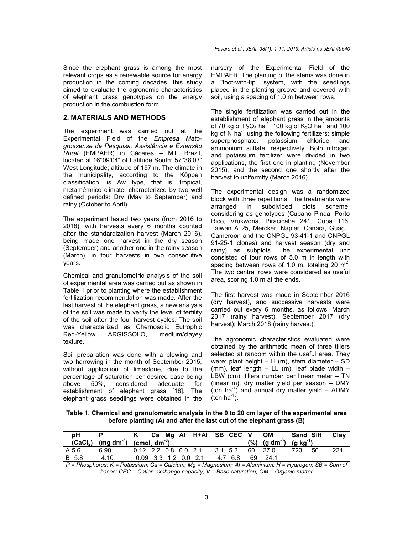Since the elephant grass is among the most relevant crops as a renewable source for energy production in the coming decades, this study aimed to evaluate the agronomic characteristics of elephant grass genotypes on the energy production in the combustion form.

#### **2. MATERIALS AND METHODS**

The experiment was carried out at the Experimental Field of the *Empresa Matogrossense de Pesquisa, Assistência e Extensão Rural* (EMPAER) in Cáceres – MT, Brazil, located at 16°09'04" of Latitude South; 57°38'03" West Longitude; altitude of 157 m. The climate in the municipality, according to the Köppen classification, is Aw type, that is, tropical, metamérmico climate, characterized by two well defined periods: Dry (May to September) and rainy (October to April).

The experiment lasted two years (from 2016 to 2018), with harvests every 6 months counted after the standardization harvest (March 2016), being made one harvest in the dry season (September) and another one in the rainy season (March), in four harvests in two consecutive years.

Chemical and granulometric analysis of the soil of experimental area was carried out as shown in Table 1 prior to planting where the establishment fertilization recommendation was made. After the last harvest of the elephant grass, a new analysis of the soil was made to verify the level of fertility of the soil after the four harvest cycles. The soil was characterized as Chernosolic Eutrophic Red-Yellow ARGISSOLO, medium/clayey texture.

Soil preparation was done with a plowing and two harrowing in the month of September 2015, without application of limestone, due to the percentage of saturation per desired base being above 50%, considered adequate for establishment of elephant grass [18]. The elephant grass seedlings were obtained in the nursery of the Experimental Field of the EMPAER. The planting of the stems was done in a "foot-with-tip" system, with the seedlings placed in the planting groove and covered with soil, using a spacing of 1.0 m between rows.

The single fertilization was carried out in the establishment of elephant grass in the amounts of 70 kg of  $P_2O_5$  ha<sup>-1</sup>, 100 kg of K<sub>2</sub>O ha<sup>-1</sup> and 100 kg of N ha<sup>-1</sup> using the following fertilizers: simple superphosphate, potassium chloride and ammonium sulfate, respectively. Both nitrogen and potassium fertilizer were divided in two applications, the first one in planting (November 2015), and the second one shortly after the harvest to uniformity (March 2016).

The experimental design was a randomized block with three repetitions. The treatments were arranged in subdivided plots scheme, considering as genotypes (Cubano Pinda, Porto Rico, Vrukwona, Piracicaba 241, Cuba 116, Taiwan A 25, Mercker, Napier, Canará, Guaçu, Cameroon and the CNPGL 93-41-1 and CNPGL 91-25-1 clones) and harvest season (dry and rainy) as subplots. The experimental unit consisted of four rows of 5.0 m in length with spacing between rows of 1.0 m, totaling 20  $m^2$ . The two central rows were considered as useful area, scoring 1.0 m at the ends.

The first harvest was made in September 2016 (dry harvest), and successive harvests were carried out every 6 months, as follows: March 2017 (rainy harvest), September 2017 (dry harvest); March 2018 (rainy harvest).

The agronomic characteristics evaluated were obtained by the arithmetic mean of three tillers selected at random within the useful area. They were: plant height  $- H(m)$ , stem diameter  $- SD$ (mm), leaf length  $-$  LL (m), leaf blade width  $-$ LBW (cm), tillers number per linear meter – TN (linear m), dry matter yield per season – DMY (ton ha<sup>-1</sup>) and annual dry matter yield  $-$  ADMY  $($ ton ha $^{-1})$ .

**Table 1. Chemical and granulometric analysis in the 0 to 20 cm layer of the experimental area before planting (A) and after the last cut of the elephant grass (B)**

| рH    |                                                            |                        |  | K Ca Mg Al H+Al SB CEC V |         |         | OM                                                          | Sand Silt |     | Clay |
|-------|------------------------------------------------------------|------------------------|--|--------------------------|---------|---------|-------------------------------------------------------------|-----------|-----|------|
|       | $(CaCl2)$ (mg dm <sup>-3</sup> ) $\overline{(cmolc dm-3)}$ |                        |  |                          |         |         | $(%)$ (g dm <sup>3</sup> ) $\overline{(g \text{ kg}^{-1})}$ |           |     |      |
| A 5.6 | 6.90                                                       | $0.12$ 2.2 0.8 0.0 2.1 |  |                          | 3.1 5.2 |         | 60 27.0                                                     | 723.      | -56 | 221  |
| B 5.8 | 4.10                                                       |                        |  | $0.09$ 3.3 1.2 0.0 2.1   |         | 4.7 6.8 | 69 24.1                                                     |           |     |      |

*P = Phosphorus; K = Potassium; Ca = Calcium; Mg = Magnesium; Al = Aluminium; H = Hydrogen; SB = Sum of bases; CEC = Cation exchange capacity; V = Base saturation; OM = Organic matter*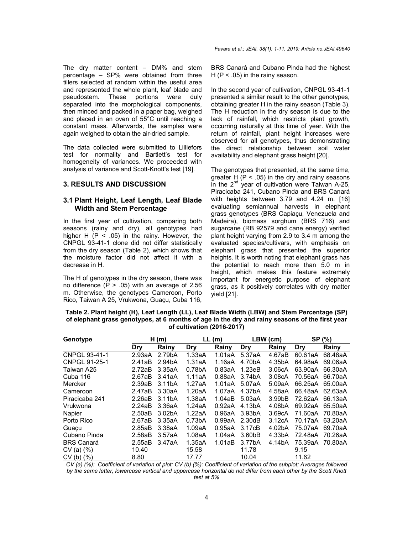The dry matter content – DM% and stem percentage – SP% were obtained from three tillers selected at random within the useful area and represented the whole plant, leaf blade and<br>pseudostem. These portions were duly pseudostem. These portions were duly separated into the morphological components, then minced and packed in a paper bag, weighed and placed in an oven of 55°C until reaching a constant mass. Afterwards, the samples were again weighed to obtain the air-dried sample.

The data collected were submitted to Lilliefors test for normality and Bartlett's test for homogeneity of variances. We proceeded with analysis of variance and Scott-Knott's test [19].

#### **3. RESULTS AND DISCUSSION**

#### **3.1 Plant Height, Leaf Length, Leaf Blade Width and Stem Percentage**

In the first year of cultivation, comparing both seasons (rainy and dry), all genotypes had higher H  $(P < .05)$  in the rainy. However, the CNPGL 93-41-1 clone did not differ statistically from the dry season (Table 2), which shows that the moisture factor did not affect it with a decrease in H.

The H of genotypes in the dry season, there was no difference  $(P > .05)$  with an average of 2.56 m. Otherwise, the genotypes Cameroon, Porto Rico, Taiwan A 25, Vrukwona, Guaçu, Cuba 116, BRS Canará and Cubano Pinda had the highest H ( $P < .05$ ) in the rainy season.

In the second year of cultivation, CNPGL 93-41-1 presented a similar result to the other genotypes, obtaining greater H in the rainy season (Table 3). The H reduction in the dry season is due to the lack of rainfall, which restricts plant growth, occurring naturally at this time of year. With the return of rainfall, plant height increases were observed for all genotypes, thus demonstrating the direct relationship between soil water availability and elephant grass height [20].

The genotypes that presented, at the same time, greater H  $(P < .05)$  in the dry and rainy seasons in the  $2^{nd}$  year of cultivation were Taiwan A-25, Piracicaba 241, Cubano Pinda and BRS Canará with heights between 3.79 and 4.24 m. [16] evaluating semiannual harvests in elephant grass genotypes (BRS Capiaçu, Venezuela and Madeira), biomass sorghum (BRS 716) and sugarcane (RB 92579 and cane energy) verified plant height varying from 2.9 to 3.4 m among the evaluated species/cultivars, with emphasis on elephant grass that presented the superior heights. It is worth noting that elephant grass has the potential to reach more than 5.0 m in height, which makes this feature extremely important for energetic purpose of elephant grass, as it positively correlates with dry matter yield [21].

#### **Table 2. Plant height (H), Leaf Length (LL), Leaf Blade Width (LBW) and Stem Percentage (SP) of elephant grass genotypes, at 6 months of age in the dry and rainy seasons of the first year of cultivation (2016-2017)**

| Genotype          |        | H(m)                |                     | LL(m)  | LBW (cm)            |        | SP (%)  |         |
|-------------------|--------|---------------------|---------------------|--------|---------------------|--------|---------|---------|
|                   | Drv    | <b>Rainv</b>        | <b>Dry</b>          | Rainy  | Dry                 | Rainy  | Dry     | Rainy   |
| CNPGL 93-41-1     | 2.93aA | 2.79bA              | 1.33aA              | 1.01aA | 5.37aA              | 4.67aB | 60.61aA | 68.48aA |
| CNPGL 91-25-1     | 2.41aB | 2.94bA              | 1.31aA              | 1.16aA | 4.70bA              | 4.35bA | 64.98aA | 69.06aA |
| Taiwan A25        | 2.72aB | 3.35aA              | 0.78 <sub>b</sub> A | 0.83aA | 1.23eB              | 3.06cA | 63.90aA | 66.30aA |
| Cuba 116          | 2.67aB | 3.41aA              | 1.11aA              | 0.88aA | 3.74bA              | 3.08cA | 70.56aA | 66.70aA |
| Mercker           | 2.39aB | 3.11 <sub>b</sub> A | 1.27aA              | 1.01aA | 5.07aA              | 5.09aA | 66.25aA | 65.00aA |
| Cameroon          | 2.47aB | 3.30aA              | 1.20aA              | 1.07aA | 4.37bA              | 4.58aA | 66.48aA | 62.63aA |
| Piracicaba 241    | 2.26aB | 3.11 <sub>b</sub> A | 1.38aA              | 1.04aB | 5.03aA              | 3.99bB | 72.62aA | 66.13aA |
| Vrukwona          | 2.24aB | 3.36aA              | 1.24aA              | 0.92aA | 4.13bA              | 4.08bA | 69.92aA | 65.50aA |
| Napier            | 2.50aB | 3.02 <sub>b</sub> A | 1.22aA              | 0.96aA | 3.93 <sub>b</sub> A | 3.69cA | 71.60aA | 70.80aA |
| Porto Rico        | 2.67aB | 3.35aA              | 0.73 <sub>b</sub> A | 0.99aA | 2.30dB              | 3.12cA | 70.17aA | 63.20aA |
| Guacu             | 2.85aB | 3.38aA              | 1.09aA              | 0.95aA | 3.17cB              | 4.02bA | 75.07aA | 69.70aA |
| Cubano Pinda      | 2.58aB | 3.57aA              | 1.08aA              | 1.04aA | 3.60bB              | 4.33bA | 72.48aA | 70.26aA |
| <b>BRS Canará</b> | 2.55aB | 3.47aA              | 1.35aA              | 1.01aB | 3.77bA              | 4.14bA | 75.39aA | 70.80aA |
| $CV(a)$ $%$       | 10.40  |                     | 15.58               |        | 11.78               |        | 9.15    |         |
| $CV(b)$ $%$       | 8.80   |                     | 17.77               |        | 10.04               |        | 11.62   |         |

*CV (a) (%): Coefficient of variation of plot; CV (b) (%): Coefficient of variation of the subplot; Averages followed by the same letter, lowercase vertical and uppercase horizontal do not differ from each other by the Scott Knott test at 5%*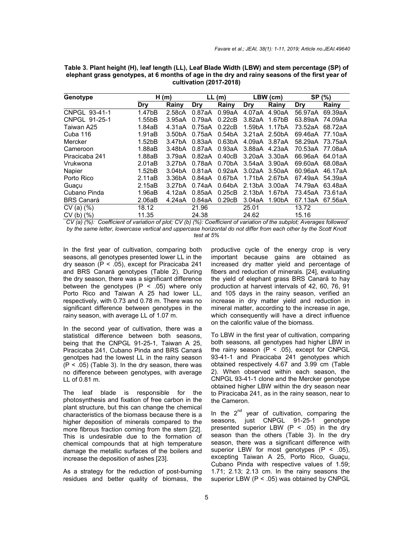| Genotype          | H(m)                |                     | LL(m)  |                     | LBW (cm)            |                     | SP (%)     |         |
|-------------------|---------------------|---------------------|--------|---------------------|---------------------|---------------------|------------|---------|
|                   | <b>Dry</b>          | Rainy               | Dry    | Rainy               | Dry                 | Rainy               | <b>Dry</b> | Rainy   |
| CNPGL 93-41-1     | 1.47bB              | 2.58cA              | 0.87aA | 0.99aA              | 4.07aA              | 4.90aA              | 56.97aA    | 69.39aA |
| CNPGL 91-25-1     | 1.55bB              | 3.95aA              | 0.79aA | 0.22cB              | 3.82aA              | 1.67bB              | 63.89aA    | 74.09Aa |
| Taiwan A25        | 1.84aB              | 4.31aA              | 0.75aA | 0.22cB              | 1.59bA              | 1.17bA              | 73.52aA    | 68.72aA |
| Cuba 116          | 1.91aB              | 3.50 <sub>b</sub> A | 0.75aA | 0.54 <sub>b</sub> A | 3.21aA              | 2.50bA              | 69.46aA    | 77.10aA |
| Mercker           | 1.52 <sub>b</sub> B | 3.47 <sub>b</sub> A | 0.83aA | 0.63 <sub>b</sub> A | 4.09aA              | 3.87aA              | 58.29aA    | 73.75aA |
| Cameroon          | 1.88aB              | 3.48bA              | 0.87aA | 0.93aA              | 3.88aA              | 4.23aA              | 70.53aA    | 77.08aA |
| Piracicaba 241    | 1.88aB              | 3.79aA              | 0.82aA | 0.40cB              | 3.20aA 3.30aA       |                     | 66.96aA    | 64.01aA |
| Vrukwona          | 2.01aB              | 3.27 <sub>b</sub> A | 0.78aA | 0.70 <sub>b</sub> A | 3.54aA 3.90aA       |                     | 69.60aA    | 68.08aA |
| Napier            | 1.52 <sub>bB</sub>  | 3.04 <sub>b</sub> A | 0.81aA | 0.92aA              | 3.02aA 3.50aA       |                     | 60.96aA    | 46.17aA |
| Porto Rico        | 2.11aB              | 3.36 <sub>b</sub> A | 0.84aA | 0.67 <sub>b</sub> A | 1.71 <sub>b</sub> A | 2.67bA              | 67.49aA    | 54.39aA |
| Guaçu             | 2.15aB              | 3.27 <sub>b</sub> A | 0.74aA | 0.64 <sub>b</sub> A | 2.13 <sub>bA</sub>  | 3.00aA              | 74.79aA    | 63.48aA |
| Cubano Pinda      | 1.96aB              | 4.12aA              | 0.85aA | 0.25cB              | 2.13 <sub>b</sub> A | 1.67bA              | 73.45aA    | 73.61aA |
| <b>BRS Canará</b> | 2.06aB              | 4.24aA              | 0.84aA | 0.29cB              | 3.04aA              | 1.90 <sub>b</sub> A | 67.13aA    | 67.56aA |
| $CV(a)$ $%$       | 18.12               |                     | 21.96  |                     | 25.01               |                     | 13.72      |         |
| $CV(b)$ $%$       | 11.35               |                     | 24.38  |                     | 24.62               |                     | 15.16      |         |

**Table 3. Plant height (H), leaf length (LL), Leaf Blade Width (LBW) and stem percentage (SP) of elephant grass genotypes, at 6 months of age in the dry and rainy seasons of the first year of cultivation (2017-2018)**

*CV (a) (%): Coefficient of variation of plot; CV (b) (%): Coefficient of variation of the subplot; Averages followed by the same letter, lowercase vertical and uppercase horizontal do not differ from each other by the Scott Knott test at 5%*

In the first year of cultivation, comparing both seasons, all genotypes presented lower LL in the dry season  $(P < .05)$ , except for Piracicaba 241 and BRS Canará genotypes (Table 2). During the dry season, there was a significant difference between the genotypes  $(P < .05)$  where only Porto Rico and Taiwan A 25 had lower LL, respectively, with 0.73 and 0.78 m. There was no significant difference between genotypes in the rainy season, with average LL of 1.07 m.

In the second year of cultivation, there was a statistical difference between both seasons, being that the CNPGL 91-25-1, Taiwan A 25, Piracicaba 241, Cubano Pinda and BRS Canará genotpes had the lowest LL in the rainy season  $(P < .05)$  (Table 3). In the dry season, there was no difference between genotypes, with average LL of 0.81 m.

The leaf blade is responsible for the photosynthesis and fixation of free carbon in the plant structure, but this can change the chemical characteristics of the biomass because there is a higher deposition of minerals compared to the more fibrous fraction coming from the stem [22]. This is undesirable due to the formation of chemical compounds that at high temperature damage the metallic surfaces of the boilers and increase the deposition of ashes [23].

As a strategy for the reduction of post-burning residues and better quality of biomass, the productive cycle of the energy crop is very important because gains are obtained as increased dry matter yield and percentage of fibers and reduction of minerals. [24], evaluating the yield of elephant grass BRS Canará to hay production at harvest intervals of 42, 60, 76, 91 and 105 days in the rainy season, verified an increase in dry matter yield and reduction in mineral matter, according to the increase in age, which consequently will have a direct influence on the calorific value of the biomass.

To LBW in the first year of cultivation, comparing both seasons, all genotypes had higher LBW in the rainy season  $(P < .05)$ , except for CNPGL 93-41-1 and Piracicaba 241 genotypes which obtained respectively 4.67 and 3.99 cm (Table 2). When observed within each season, the CNPGL 93-41-1 clone and the Mercker genotype obtained higher LBW within the dry season near to Piracicaba 241, as in the rainy season, near to the Cameron.

In the  $2^{nd}$  year of cultivation, comparing the seasons, just CNPGL 91-25-1 genotype presented superior LBW  $(P < .05)$  in the dry season than the others (Table 3). In the dry season, there was a significant difference with superior LBW for most genotypes  $(P < .05)$ , excepting Taiwan A 25, Porto Rico, Guaçu, Cubano Pinda with respective values of 1.59; 1.71; 2.13; 2.13 cm. In the rainy seasons the superior LBW  $(P < .05)$  was obtained by CNPGL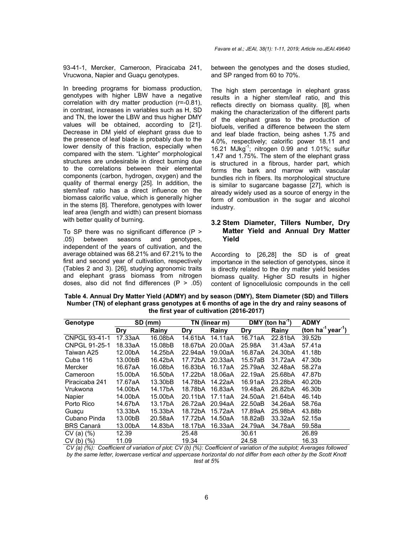93-41-1, Mercker, Cameroon, Piracicaba 241, Vrucwona, Napier and Guaçu genotypes.

In breeding programs for biomass production, genotypes with higher LBW have a negative correlation with dry matter production (r=-0.81), in contrast, increases in variables such as H, SD and TN, the lower the LBW and thus higher DMY values will be obtained, according to [21]. Decrease in DM yield of elephant grass due to the presence of leaf blade is probably due to the lower density of this fraction, especially when compared with the stem. "Lighter" morphological structures are undesirable in direct burning due to the correlations between their elemental components (carbon, hydrogen, oxygen) and the quality of thermal energy [25]. In addition, the stem/leaf ratio has a direct influence on the biomass calorific value, which is generally higher in the stems [8]. Therefore, genotypes with lower leaf area (length and width) can present biomass with better quality of burning.

To SP there was no significant difference (P > .05) between seasons and genotypes, independent of the years of cultivation, and the average obtained was 68.21% and 67.21% to the first and second year of cultivation, respectively (Tables 2 and 3). [26], studying agronomic traits and elephant grass biomass from nitrogen doses, also did not find differences  $(P > .05)$  between the genotypes and the doses studied, and SP ranged from 60 to 70%.

The high stem percentage in elephant grass results in a higher stem/leaf ratio, and this reflects directly on biomass quality. [8], when making the characterization of the different parts of the elephant grass to the production of biofuels, verified a difference between the stem and leaf blade fraction, being ashes 1.75 and 4.0%, respectively; calorific power 18.11 and 16.21 MJkg-1 ; nitrogen 0.99 and 1.01%; sulfur 1.47 and 1.75%. The stem of the elephant grass is structured in a fibrous, harder part, which forms the bark and marrow with vascular bundles rich in fibers. Its morphological structure is similar to sugarcane bagasse [27], which is already widely used as a source of energy in the form of combustion in the sugar and alcohol industry.

## **3.2 Stem Diameter, Tillers Number, Dry Matter Yield and Annual Dry Matter Yield**

According to [26,28] the SD is of great importance in the selection of genotypes, since it is directly related to the dry matter yield besides biomass quality. Higher SD results in higher content of lignocellulosic compounds in the cell

**Table 4. Annual Dry Matter Yield (ADMY) and by season (DMY), Stem Diameter (SD) and Tillers Number (TN) of elephant grass genotypes at 6 months of age in the dry and rainy seasons of the first year of cultivation (2016-2017)**

| Genotype             | SD (mm) |         |         | TN (linear m) |            | DMY (ton ha <sup>-1</sup> ) | <b>ADMY</b>                                |
|----------------------|---------|---------|---------|---------------|------------|-----------------------------|--------------------------------------------|
|                      | Dry     | Rainy   | Drv     | Rainy         | <b>Dry</b> | Rainy                       | (ton ha <sup>-1</sup> year <sup>-1</sup> ) |
| CNPGL 93-41-1        | 17.33aA | 16.08bA | 14.61bA | 14.11aA       | 16.71aA    | 22.81bA                     | 39.52b                                     |
| <b>CNPGL 91-25-1</b> | 18.33aA | 15.08bB | 18.67bA | 20.00aA       | 25.98A     | 31.43aA                     | 57.41a                                     |
| Taiwan A25           | 12.00bA | 14.25bA | 22.94aA | 19.00aA       | 16.87aA    | 24.30bA                     | 41.18b                                     |
| Cuba 116             | 13.00bB | 16.42bA | 17.72bA | 20.33aA       | 15.57aB    | 31.72aA                     | 47.30b                                     |
| Mercker              | 16.67aA | 16.08bA | 16.83bA | 16.17aA       | 25.79aA    | 32.48aA                     | 58.27a                                     |
| Cameroon             | 15.00bA | 16.50bA | 17.22bA | 18.06aA       | 22.19aA    | 25.68bA                     | 47.87b                                     |
| Piracicaba 241       | 17.67aA | 13.30bB | 14.78bA | 14.22aA       | 16.91aA    | 23.28bA                     | 40.20b                                     |
| Vrukwona             | 14.00bA | 14.17bA | 18.78bA | 16.83aA       | 19.48aA    | 26.82bA                     | 46.30b                                     |
| Napier               | 14.00bA | 15.00bA | 20.11bA | 17.11aA       | 24.50aA    | 21.64bA                     | 46.14b                                     |
| Porto Rico           | 14.67bA | 13.17bA | 26.72aA | 20.94aA       | 22.50aB    | 34.26aA                     | 58.76a                                     |
| Guacu                | 13.33bA | 15.33bA | 18.72bA | 15.72aA       | 17.89aA    | 25.98bA                     | 43.88b                                     |
| Cubano Pinda         | 13.00bB | 20.58aA | 17.72bA | 14.50aA       | 18.82aB    | 33.32aA                     | 52.15a                                     |
| <b>BRS Canará</b>    | 13.00bA | 14.83bA | 18.17bA | 16.33aA       | 24.79aA    | 34.78aA                     | 59.58a                                     |
| $CV(a)$ $%$          | 12.39   |         | 25.48   |               | 30.61      |                             | 26.89                                      |
| $CV(b)$ $(\%)$       | 11.09   |         | 19.34   |               | 24.58      |                             | 16.33                                      |

*CV (a) (%): Coefficient of variation of plot; CV (b) (%): Coefficient of variation of the subplot; Averages followed by the same letter, lowercase vertical and uppercase horizontal do not differ from each other by the Scott Knott test at 5%*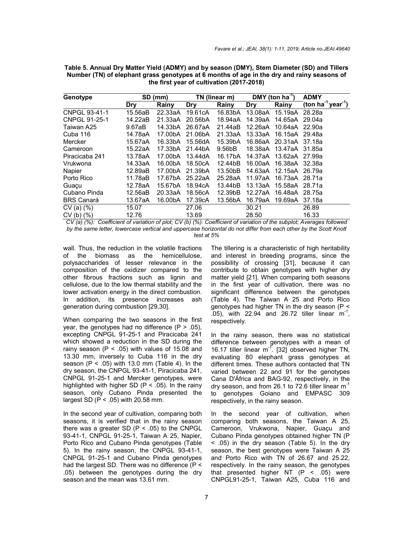| Genotype          |         | SD (mm) |            | TN (linear m) |            | DMY (ton $ha^{-1}$ ) | <b>ADMY</b>                              |
|-------------------|---------|---------|------------|---------------|------------|----------------------|------------------------------------------|
|                   | Dry     | Rainy   | <b>Dry</b> | Rainy         | <b>Dry</b> | Rainy                | (ton ha <sup>1</sup> year <sup>1</sup> ) |
| CNPGL 93-41-1     | 15.56aB | 22.33aA | 19.61cA    | 16.83bA       | 13.08aA    | 15.19aA              | 28.28a                                   |
| CNPGL 91-25-1     | 14.22aB | 21.33aA | 20.56bA    | 18.94aA       | 14.39aA    | 14.65aA 29.04a       |                                          |
| Taiwan A25        | 9.67aB  | 14.33bA | 26.67aA    | 21.44aB       | 12.26aA    | 10.64aA 22.90a       |                                          |
| Cuba 116          | 14.78aA | 17.00bA | 21.06bA    | 21.33aA       | 13.33aA    | 16.15aA 29.48a       |                                          |
| Mercker           | 15.67aA | 16.33bA | 15.56dA    | 15.39bA       | 16.86aA    | 20.31aA 37.18a       |                                          |
| Cameroon          | 15.22aA | 17.33bA | 21.44bA    | 9.56bB        | 18.38aA    | 13.47aA 31.85a       |                                          |
| Piracicaba 241    | 13.78aA | 17.00bA | 13.44dA    | 16.17bA       | 14.37aA    | 13.62aA 27.99a       |                                          |
| Vrukwona          | 14.33aA | 16.00bA | 18.50cA    | 12.44bB       | 16.00aA    | 16.38aA 32.38a       |                                          |
| Napier            | 12.89aB | 17.00bA | 21.39bA    | 13.50bB       | 14.63aA    | 12.15aA 26.79a       |                                          |
| Porto Rico        | 11.78aB | 17.67bA | 25.22aA    | 25.28aA       | 11.97aA    | 16.73aA              | 28.71a                                   |
| Guaçu             | 12.78aA | 15.67bA | 18.94cA    | 13.44bB       | 13.13aA    | 15.58aA              | 28.71a                                   |
| Cubano Pinda      | 12.56aB | 20.33aA | 18.56cA    | 12.39bB       | 12.27aA    | 16.48aA 28.75a       |                                          |
| <b>BRS Canará</b> | 13.67aA | 16.00bA | 17.39cA    | 13.56bA       | 16.79aA    | 19.69aA              | 37.18a                                   |
| CV(a)(%           | 15.07   |         | 27.06      |               | 30.21      |                      | 26.89                                    |
| $CV(b)$ $(\%)$    | 12.76   |         | 13.69      |               | 28.50      |                      | 16.33                                    |

**Table 5. Annual Dry Matter Yield (ADMY) and by season (DMY), Stem Diameter (SD) and Tillers Number (TN) of elephant grass genotypes at 6 months of age in the dry and rainy seasons of the first year of cultivation (2017-2018)**

*CV (a) (%): Coefficient of variation of plot; CV (b) (%): Coefficient of variation of the subplot; Averages followed by the same letter, lowercase vertical and uppercase horizontal do not differ from each other by the Scott Knott test at 5%*

wall. Thus, the reduction in the volatile fractions of the biomass as the hemicellulose, polysaccharides of lesser relevance in the composition of the oxidizer compared to the other fibrous fractions such as lignin and cellulose, due to the low thermal stability and the lower activation energy in the direct combustion. In addition, its presence increases ash generation during combustion [29,30].

When comparing the two seasons in the first year, the genotypes had no difference  $(P > .05)$ , excepting CNPGL 91-25-1 and Piracicaba 241 which showed a reduction in the SD during the rainy season ( $P < .05$ ) with values of 15.08 and 13.30 mm, inversely to Cuba 116 in the dry season (P < .05) with 13.0 mm (Table 4). In the dry season, the CNPGL 93-41-1, Piracicaba 241, CNPGL 91-25-1 and Mercker genotypes, were highlighted with higher SD ( $P < .05$ ). In the rainy season, only Cubano Pinda presented the largest SD ( $P < .05$ ) with 20.58 mm.

In the second year of cultivation, comparing both seasons, it is verified that in the rainy season there was a greater SD ( $P < .05$ ) to the CNPGL 93-41-1, CNPGL 91-25-1, Taiwan A 25, Napier, Porto Rico and Cubano Pinda genotypes (Table 5). In the rainy season, the CNPGL 93-41-1, CNPGL 91-25-1 and Cubano Pinda genotypes had the largest SD. There was no difference (P < .05) between the genotypes during the dry season and the mean was 13.61 mm.

The tillering is a characteristic of high heritability and interest in breeding programs, since the possibility of crossing [31], because it can contribute to obtain genotypes with higher dry matter yield [21]. When comparing both seasons in the first year of cultivation, there was no significant difference between the genotypes (Table 4). The Taiwan A 25 and Porto Rico genotypes had higher TN in the dry season (P <  $.05$ ), with 22.94 and 26.72 tiller linear  $\text{m}^{\text{-}1}$ , respectively.

In the rainy season, there was no statistical difference between genotypes with a mean of 16.17 tiller linear  $m<sup>-1</sup>$ . [32] observed higher TN, evaluating 80 elephant grass genotypes at different times. These authors contacted that TN varied between 22 and 91 for the genotypes Cana D'África and BAG-92, respectively, in the dry season, and from 26.1 to 72.6 tiller linear  $m^{-1}$ to genotypes Goiano and EMPASC 309 respectively, in the rainy season.

In the second year of cultivation, when comparing both seasons, the Taiwan A 25, Cameroon, Vrukwona, Napier, Guaçu and Cubano Pinda genotypes obtained higher TN (P < .05) in the dry season (Table 5). In the dry season, the best genotypes were Taiwan A 25 and Porto Rico with TN of 26.67 and 25.22, respectively. In the rainy season, the genotypes that presented higher NT  $(P < .05)$  were CNPGL91-25-1, Taiwan A25, Cuba 116 and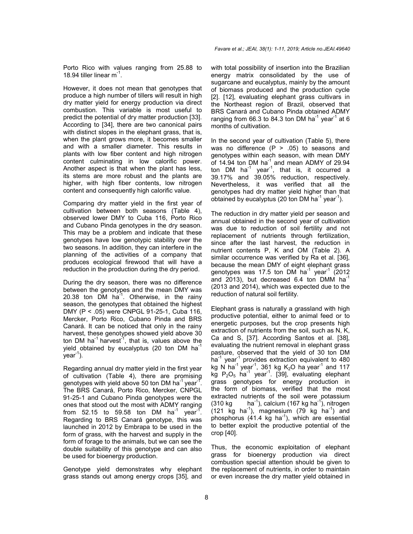Porto Rico with values ranging from 25.88 to 18.94 tiller linear  $m^{-1}$ .

However, it does not mean that genotypes that produce a high number of tillers will result in high dry matter yield for energy production via direct combustion. This variable is most useful to predict the potential of dry matter production [33]. According to [34], there are two canonical pairs with distinct slopes in the elephant grass, that is, when the plant grows more, it becomes smaller and with a smaller diameter. This results in plants with low fiber content and high nitrogen content culminating in low calorific power. Another aspect is that when the plant has less, its stems are more robust and the plants are higher, with high fiber contents, low nitrogen content and consequently high calorific value.

Comparing dry matter yield in the first year of cultivation between both seasons (Table 4), observed lower DMY to Cuba 116, Porto Rico and Cubano Pinda genotypes in the dry season. This may be a problem and indicate that these genotypes have low genotypic stability over the two seasons. In addition, they can interfere in the planning of the activities of a company that produces ecological firewood that will have a reduction in the production during the dry period.

During the dry season, there was no difference between the genotypes and the mean DMY was 20.38 ton  $\overline{DM}$  ha<sup>-1</sup>. Otherwise, in the rainy season, the genotypes that obtained the highest DMY (P < .05) were CNPGL 91-25-1, Cuba 116, Mercker, Porto Rico, Cubano Pinda and BRS Canará. It can be noticed that only in the rainy harvest, these genotypes showed yield above 30 ton DM ha<sup>-1</sup> harvest<sup>-1</sup>, that is, values above the yield obtained by eucalyptus (20 ton DM ha<sup>-1</sup>  $year<sup>-1</sup>$ ).

Regarding annual dry matter yield in the first year of cultivation (Table 4), there are promising genotypes with yield above 50 ton DM ha<sup>-1</sup> year<sup>-1</sup>. The BRS Canará, Porto Rico, Mercker, CNPGL 91-25-1 and Cubano Pinda genotypes were the ones that stood out the most with ADMY ranging from 52.15 to 59.58 ton DM ha<sup>-1</sup> year<sup>-1</sup> . Regarding to BRS Canará genotype, this was launched in 2012 by Embrapa to be used in the form of grass, with the harvest and supply in the form of forage to the animals, but we can see the double suitability of this genotype and can also be used for bioenergy production.

Genotype yield demonstrates why elephant grass stands out among energy crops [35], and

with total possibility of insertion into the Brazilian energy matrix consolidated by the use of sugarcane and eucalyptus, mainly by the amount of biomass produced and the production cycle [2]. [12], evaluating elephant grass cultivars in the Northeast region of Brazil, observed that BRS Canará and Cubano Pinda obtained ADMY ranging from 66.3 to 84.3 ton DM ha<sup>-1</sup> year<sup>-1</sup> at 6 months of cultivation.

In the second year of cultivation (Table 5), there was no difference  $(P > .05)$  to seasons and genotypes within each season, with mean DMY of 14.94 ton DM ha $^{-1}$  and mean ADMY of 29.94 ton DM ha<sup>-1</sup> year<sup>-1</sup>, that is, it occurred a 39.17% and 39.05% reduction, respectively. Nevertheless, it was verified that all the genotypes had dry matter yield higher than that obtained by eucalyptus (20 ton DM ha $^{-1}$  year $^{-1}$ ).

The reduction in dry matter yield per season and annual obtained in the second year of cultivation was due to reduction of soil fertility and not replacement of nutrients through fertilization, since after the last harvest, the reduction in nutrient contents P, K and OM (Table 2). A similar occurrence was verified by Ra et al. [36], because the mean DMY of eight elephant grass genotypes was 17.5 ton DM ha<sup>-1</sup> year<sup>-1</sup> (2012) and 2013), but decreased 6.4 ton DMM  $ha^{-1}$ (2013 and 2014), which was expected due to the reduction of natural soil fertility.

Elephant grass is naturally a grassland with high productive potential, either to animal feed or to energetic purposes, but the crop presents high extraction of nutrients from the soil, such as N, K, Ca and S, [37]. According Santos et al. [38], evaluating the nutrient removal in elephant grass pasture, observed that the yield of 30 ton DM  $ha^{-1}$  year<sup>-1</sup> provides extraction equivalent to 480 kg N ha<sup>-1</sup> year<sup>-1</sup>, 361 kg K<sub>2</sub>O ha year<sup>-1</sup> and 117 kg  $P_2O_5$  ha<sup>-1</sup> year<sup>-1</sup>. [39], evaluating elephant grass genotypes for energy production in the form of biomass, verified that the most extracted nutrients of the soil were potassium (310 kg) ), calcium (167 kg ha $^{-1}$ ), nitrogen  $(121 \text{ kg} \text{ ha}^{-1})$ , magnesium  $(79 \text{ kg} \text{ ha}^{-1})$  and  $phosphorus$  (41.4 kg ha<sup>-1</sup>), which are essential to better exploit the productive potential of the crop [40].

Thus, the economic exploitation of elephant grass for bioenergy production via direct combustion special attention should be given to the replacement of nutrients, in order to maintain or even increase the dry matter yield obtained in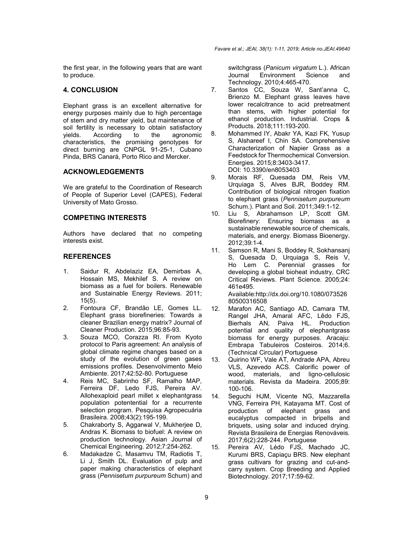the first year, in the following years that are want to produce.

## **4. CONCLUSION**

Elephant grass is an excellent alternative for energy purposes mainly due to high percentage of stem and dry matter yield, but maintenance of soil fertility is necessary to obtain satisfactory yields. According to the agronomic characteristics, the promising genotypes for direct burning are CNPGL 91-25-1, Cubano Pinda, BRS Canará, Porto Rico and Mercker.

# **ACKNOWLEDGEMENTS**

We are grateful to the Coordination of Research of People of Superior Level (CAPES), Federal University of Mato Grosso.

## **COMPETING INTERESTS**

Authors have declared that no competing interests exist.

# **REFERENCES**

- 1. Saidur R, Abdelaziz EA, Demirbas A, Hossain MS, Mekhilef S. A review on biomass as a fuel for boilers. Renewable and Sustainable Energy Reviews. 2011; 15(5).
- 2. Fontoura CF, Brandão LE, Gomes LL. Elephant grass biorefineries: Towards a cleaner Brazilian energy matrix? Journal of Cleaner Production. 2015;96:85-93.
- 3. Souza MCO, Corazza RI. From Kyoto protocol to Paris agreement: An analysis of global climate regime changes based on a study of the evolution of green gases emissions profiles. Desenvolvimento Meio Ambiente. 2017;42:52-80. Portuguese
- 4. Reis MC, Sabrinho SF, Ramalho MAP, Ferreira DF, Ledo FJS, Pereira AV. Allohexaploid pearl millet x elephantgrass population potentential for a recurrente selection program. Pesquisa Agropecuária Brasileira. 2008;43(2):195-199.
- 5. Chakraborty S, Aggarwal V, Mukherjee D, Andras K. Biomass to biofuel: A review on production technology. Asian Journal of Chemical Engineering. 2012;7:254-262.
- 6. Madakadze C, Masamvu TM, Radiotis T, Li J, Smith DL. Evaluation of pulp and paper making characteristics of elephant grass (*Pennisetum purpureum* Schum) and

switchgrass (*Panicum virgatum* L.). African Journal Environment Science and Technology. 2010;4:465-470.

- 7. Santos CC, Souza W, Sant'anna C, Brienzo M. Elephant grass leaves have lower recalcitrance to acid pretreatment than stems, with higher potential for ethanol production. Industrial. Crops & Products. 2018;111:193-200.
- 8. Mohammed IY, Abakr YA, Kazi FK, Yusup S, Alshareef I, Chin SA. Comprehensive Characterization of Napier Grass as a Feedstock for Thermochemical Conversion. Energies. 2015;8:3403-3417. DOI: 10.3390/en8053403
- 9. Morais RF, Quesada DM, Reis VM, Urquiaga S, Alves BJR, Boddey RM. Contribution of biological nitrogen fixation to elephant grass (*Pennisetum purpureum* Schum.). Plant and Soil. 2011;349:1-12.
- 10. Liu S, Abrahamson LP, Scott GM. Biorefinery: Ensuring biomass as a sustainable renewable source of chemicals, materials, and energy. Biomass Bioenergy. 2012;39:1-4.
- 11. Samson R, Mani S, Boddey R, Sokhansanj S, Quesada D, Urquiaga S, Reis V, Ho Lem C. Perennial grasses for developing a global bioheat industry, CRC Critical Reviews. Plant Science. 2005;24: 461e495.

Available:http://dx.doi.org/10.1080/073526 80500316508

- 12. Marafon AC, Santiago AD, Camara TM, Rangel JHA, Amaral AFC, Lêdo FJS, Bierhals AN, Paiva HL. Production potential and quality of elephantgrass biomass for energy purposes. Aracaju: Embrapa Tabuleiros Costeiros. 2014;6. (Technical Circular) Portuguese
- 13. Quirino WF, Vale AT, Andrade APA, Abreu VLS, Azevedo ACS. Calorific power of wood, materials, and ligno-cellulosic materials. Revista da Madeira. 2005;89: 100-106.
- 14. Seguchi HJM, Vicente NG, Mazzarella VNG, Ferreira PH, Katayama MT. Cost of production of elephant grass and eucalyptus compacted in bripells and briquets, using solar and induced drying. Revista Brasileira de Energias Renováveis. 2017;6(2):228-244. Portuguese
- 15. Pereira AV, Lédo FJS, Machado JC, Kurumi BRS, Capiaçu BRS. New elephant grass cultivars for grazing and cut-andcarry system. Crop Breeding and Applied Biotechnology. 2017;17:59-62.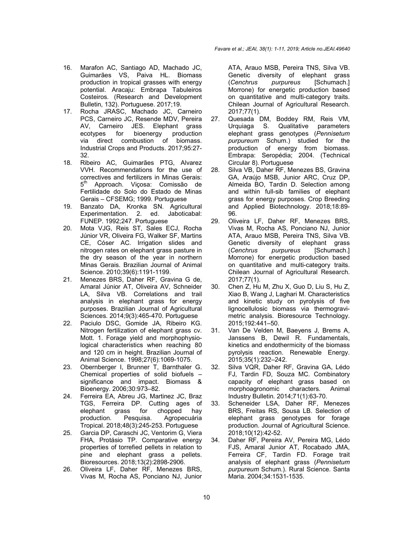- 16. Marafon AC, Santiago AD, Machado JC, Guimarães VS, Paiva HL. Biomass production in tropical grasses with energy potential. Aracaju: Embrapa Tabuleiros Costeiros. (Research and Development Bulletin, 132). Portuguese. 2017;19.
- 17. Rocha JRASC, Machado JC, Carneiro PCS, Carneiro JC, Resende MDV, Pereira AV, Carneiro JES. Elephant grass ecotypes for bioenergy production via direct combustion of biomass. Industrial Crops and Products. 2017;95:27- 32.
- 18. Ribeiro AC, Guimarães PTG, Alvarez VVH. Recommendations for the use of correctives and fertilizers in Minas Gerais: 5<sup>th</sup> Approach. Vicosa: Comissão de Fertilidade do Solo do Estado de Minas Gerais – CFSEMG; 1999. Portuguese
- 19. Banzato DA, Kronka SN. Agricultural Experimentation. 2. ed. Jaboticabal: FUNEP. 1992;247. Portuguese
- 20. Mota VJG, Reis ST, Sales ECJ, Rocha Júnior VR, Oliveira FG, Walker SF, Martins CE, Cóser AC. Irrigation slides and nitrogen rates on elephant grass pasture in the dry season of the year in northern Minas Gerais. Brazilian Journal of Animal Science. 2010;39(6):1191-1199.
- 21. Menezes BRS, Daher RF, Gravina G de, Amaral Júnior AT, Oliveira AV, Schneider LA, Silva VB. Correlations and trail analysis in elephant grass for energy purposes. Brazilian Journal of Agricultural Sciences. 2014;9(3):465-470. Portuguese
- 22. Paciulo DSC, Gomide JA, Ribeiro KG. Nitrogen fertilization of elephant grass cv. Mott. 1. Forage yield and morphophysiological characteristics when reaching 80 and 120 cm in height. Brazilian Journal of Animal Science. 1998;27(6):1069-1075.
- 23. Obernberger I, Brunner T, Barnthaler G. Chemical properties of solid biofuels – significance and impact. Biomass & Bioenergy. 2006;30:973–82.
- 24. Ferreira EA, Abreu JG, Martinez JC, Braz TGS, Ferreira DP. Cutting ages of elephant grass for chopped hay production. Pesquisa. Agropecuária Tropical. 2018;48(3):245-253. Portuguese
- 25. Garcia DP, Caraschi JC, Ventorim G, Viera FHA, Protásio TP. Comparative energy properties of torrefied pellets in relation to pine and elephant grass a pellets. Bioresources. 2018;13(2):2898-2906.
- 26. Oliveira LF, Daher RF, Menezes BRS, Vivas M, Rocha AS, Ponciano NJ, Junior

ATA, Arauo MSB, Pereira TNS, Silva VB. Genetic diversity of elephant grass (*Cenchrus purpureus* [Schumach.] Morrone) for energetic production based on quantitative and multi-category traits. Chilean Journal of Agricultural Research. 2017;77(1).

- 27. Quesada DM, Boddey RM, Reis VM, Urquiaga S. Qualitative parameters elephant grass genotypes (*Pennisetum purpureum* Schum.) studied for the production of energy from biomass. Embrapa: Seropédia; 2004. (Technical Circular 8). Portuguese
- 28. Silva VB, Daher RF, Menezes BS, Gravina GA, Araújo MSB, Junior ARC, Cruz DP, Almeida BO, Tardin D. Selection among and within full-sib families of elephant grass for energy purposes. Crop Breeding and Applied Biotechnology. 2018;18:89- 96.
- 29. Oliveira LF, Daher RF, Menezes BRS, Vivas M, Rocha AS, Ponciano NJ, Junior ATA, Arauo MSB, Pereira TNS, Silva VB. Genetic diversity of elephant grass (*Cenchrus purpureus* [Schumach.] Morrone) for energetic production based on quantitative and multi-category traits. Chilean Journal of Agricultural Research. 2017;77(1).
- 30. Chen Z, Hu M, Zhu X, Guo D, Liu S, Hu Z, Xiao B, Wang J, Laghari M. Characteristics and kinetic study on pyrolysis of five lignocellulosic biomass via thermogravimetric analysis. Bioresource Technology. 2015;192:441–50.
- 31. Van De Velden M, Baeyens J, Brems A, Janssens B, Dewil R. Fundamentals, kinetics and endothermicity of the biomass pyrolysis reaction. Renewable Energy. 2015;35(1):232–242.
- 32. Silva VQR, Daher RF, Gravina GA, Lédo FJ, Tardin FD, Souza MC. Combinatory capacity of elephant grass based on morphoagronomic characters. Animal Industry Bulletin. 2014;71(1):63-70.
- 33. Scheneider LSA, Daher RF, Menezes BRS, Freitas RS, Sousa LB. Selection of elephant grass genotypes for forage production. Journal of Agricultural Science. 2018;10(12):42-52.
- 34. Daher RF, Pereira AV, Pereira MG, Lédo FJS, Amaral Junior AT, Rocabado JMA, Ferreira CF, Tardin FD. Forage trait analysis of elephant grass (*Pennisetum purpureum* Schum.). Rural Science. Santa Maria. 2004;34:1531-1535.